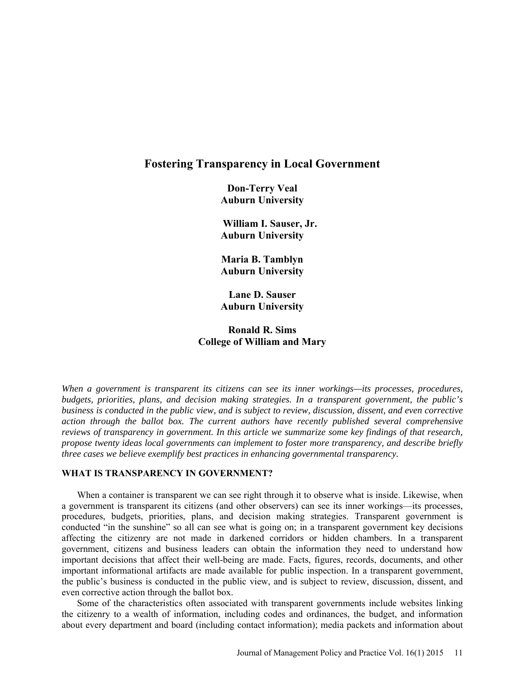# **Fostering Transparency in Local Government**

**Don-Terry Veal Auburn University** 

**William I. Sauser, Jr. Auburn University** 

**Maria B. Tamblyn Auburn University** 

**Lane D. Sauser Auburn University** 

# **Ronald R. Sims College of William and Mary**

*When a government is transparent its citizens can see its inner workings—its processes, procedures, budgets, priorities, plans, and decision making strategies. In a transparent government, the public's business is conducted in the public view, and is subject to review, discussion, dissent, and even corrective action through the ballot box. The current authors have recently published several comprehensive reviews of transparency in government. In this article we summarize some key findings of that research, propose twenty ideas local governments can implement to foster more transparency, and describe briefly three cases we believe exemplify best practices in enhancing governmental transparency.* 

### **WHAT IS TRANSPARENCY IN GOVERNMENT?**

When a container is transparent we can see right through it to observe what is inside. Likewise, when a government is transparent its citizens (and other observers) can see its inner workings—its processes, procedures, budgets, priorities, plans, and decision making strategies. Transparent government is conducted "in the sunshine" so all can see what is going on; in a transparent government key decisions affecting the citizenry are not made in darkened corridors or hidden chambers. In a transparent government, citizens and business leaders can obtain the information they need to understand how important decisions that affect their well-being are made. Facts, figures, records, documents, and other important informational artifacts are made available for public inspection. In a transparent government, the public's business is conducted in the public view, and is subject to review, discussion, dissent, and even corrective action through the ballot box.

Some of the characteristics often associated with transparent governments include websites linking the citizenry to a wealth of information, including codes and ordinances, the budget, and information about every department and board (including contact information); media packets and information about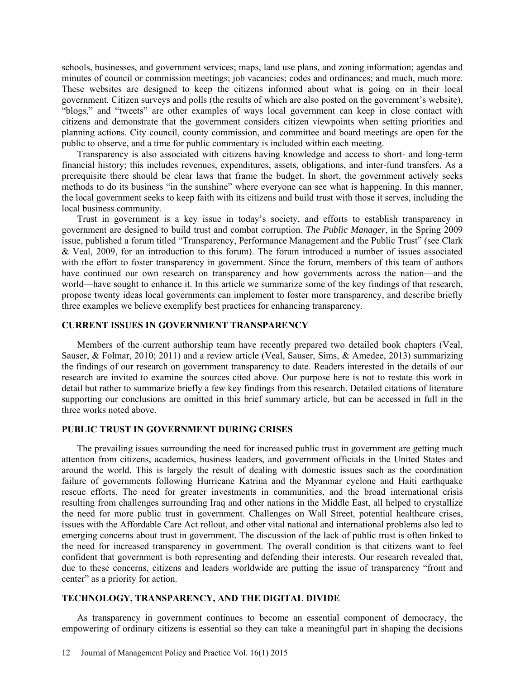schools, businesses, and government services; maps, land use plans, and zoning information; agendas and minutes of council or commission meetings; job vacancies; codes and ordinances; and much, much more. These websites are designed to keep the citizens informed about what is going on in their local government. Citizen surveys and polls (the results of which are also posted on the government's website), "blogs," and "tweets" are other examples of ways local government can keep in close contact with citizens and demonstrate that the government considers citizen viewpoints when setting priorities and planning actions. City council, county commission, and committee and board meetings are open for the public to observe, and a time for public commentary is included within each meeting.

Transparency is also associated with citizens having knowledge and access to short- and long-term financial history; this includes revenues, expenditures, assets, obligations, and inter-fund transfers. As a prerequisite there should be clear laws that frame the budget. In short, the government actively seeks methods to do its business "in the sunshine" where everyone can see what is happening. In this manner, the local government seeks to keep faith with its citizens and build trust with those it serves, including the local business community.

Trust in government is a key issue in today's society, and efforts to establish transparency in government are designed to build trust and combat corruption. *The Public Manager*, in the Spring 2009 issue, published a forum titled "Transparency, Performance Management and the Public Trust" (see Clark & Veal, 2009, for an introduction to this forum). The forum introduced a number of issues associated with the effort to foster transparency in government. Since the forum, members of this team of authors have continued our own research on transparency and how governments across the nation—and the world—have sought to enhance it. In this article we summarize some of the key findings of that research, propose twenty ideas local governments can implement to foster more transparency, and describe briefly three examples we believe exemplify best practices for enhancing transparency.

# **CURRENT ISSUES IN GOVERNMENT TRANSPARENCY**

Members of the current authorship team have recently prepared two detailed book chapters (Veal, Sauser, & Folmar, 2010; 2011) and a review article (Veal, Sauser, Sims, & Amedee, 2013) summarizing the findings of our research on government transparency to date. Readers interested in the details of our research are invited to examine the sources cited above. Our purpose here is not to restate this work in detail but rather to summarize briefly a few key findings from this research. Detailed citations of literature supporting our conclusions are omitted in this brief summary article, but can be accessed in full in the three works noted above.

## **PUBLIC TRUST IN GOVERNMENT DURING CRISES**

The prevailing issues surrounding the need for increased public trust in government are getting much attention from citizens, academics, business leaders, and government officials in the United States and around the world. This is largely the result of dealing with domestic issues such as the coordination failure of governments following Hurricane Katrina and the Myanmar cyclone and Haiti earthquake rescue efforts. The need for greater investments in communities, and the broad international crisis resulting from challenges surrounding Iraq and other nations in the Middle East, all helped to crystallize the need for more public trust in government. Challenges on Wall Street, potential healthcare crises, issues with the Affordable Care Act rollout, and other vital national and international problems also led to emerging concerns about trust in government. The discussion of the lack of public trust is often linked to the need for increased transparency in government. The overall condition is that citizens want to feel confident that government is both representing and defending their interests. Our research revealed that, due to these concerns, citizens and leaders worldwide are putting the issue of transparency "front and center" as a priority for action.

### **TECHNOLOGY, TRANSPARENCY, AND THE DIGITAL DIVIDE**

As transparency in government continues to become an essential component of democracy, the empowering of ordinary citizens is essential so they can take a meaningful part in shaping the decisions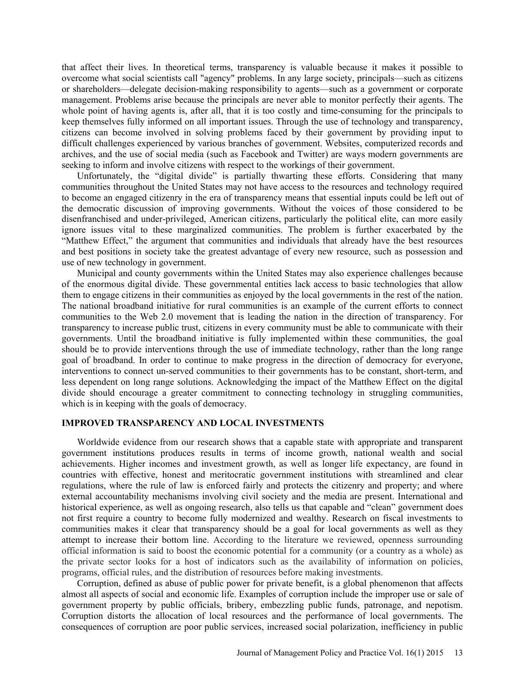that affect their lives. In theoretical terms, transparency is valuable because it makes it possible to overcome what social scientists call "agency" problems. In any large society, principals—such as citizens or shareholders—delegate decision-making responsibility to agents—such as a government or corporate management. Problems arise because the principals are never able to monitor perfectly their agents. The whole point of having agents is, after all, that it is too costly and time-consuming for the principals to keep themselves fully informed on all important issues. Through the use of technology and transparency, citizens can become involved in solving problems faced by their government by providing input to difficult challenges experienced by various branches of government. Websites, computerized records and archives, and the use of social media (such as Facebook and Twitter) are ways modern governments are seeking to inform and involve citizens with respect to the workings of their government.

Unfortunately, the "digital divide" is partially thwarting these efforts. Considering that many communities throughout the United States may not have access to the resources and technology required to become an engaged citizenry in the era of transparency means that essential inputs could be left out of the democratic discussion of improving governments. Without the voices of those considered to be disenfranchised and under-privileged, American citizens, particularly the political elite, can more easily ignore issues vital to these marginalized communities. The problem is further exacerbated by the "Matthew Effect," the argument that communities and individuals that already have the best resources and best positions in society take the greatest advantage of every new resource, such as possession and use of new technology in government.

Municipal and county governments within the United States may also experience challenges because of the enormous digital divide. These governmental entities lack access to basic technologies that allow them to engage citizens in their communities as enjoyed by the local governments in the rest of the nation. The national broadband initiative for rural communities is an example of the current efforts to connect communities to the Web 2.0 movement that is leading the nation in the direction of transparency. For transparency to increase public trust, citizens in every community must be able to communicate with their governments. Until the broadband initiative is fully implemented within these communities, the goal should be to provide interventions through the use of immediate technology, rather than the long range goal of broadband. In order to continue to make progress in the direction of democracy for everyone, interventions to connect un-served communities to their governments has to be constant, short-term, and less dependent on long range solutions. Acknowledging the impact of the Matthew Effect on the digital divide should encourage a greater commitment to connecting technology in struggling communities, which is in keeping with the goals of democracy.

#### **IMPROVED TRANSPARENCY AND LOCAL INVESTMENTS**

Worldwide evidence from our research shows that a capable state with appropriate and transparent government institutions produces results in terms of income growth, national wealth and social achievements. Higher incomes and investment growth, as well as longer life expectancy, are found in countries with effective, honest and meritocratic government institutions with streamlined and clear regulations, where the rule of law is enforced fairly and protects the citizenry and property; and where external accountability mechanisms involving civil society and the media are present. International and historical experience, as well as ongoing research, also tells us that capable and "clean" government does not first require a country to become fully modernized and wealthy. Research on fiscal investments to communities makes it clear that transparency should be a goal for local governments as well as they attempt to increase their bottom line. According to the literature we reviewed, openness surrounding official information is said to boost the economic potential for a community (or a country as a whole) as the private sector looks for a host of indicators such as the availability of information on policies, programs, official rules, and the distribution of resources before making investments.

Corruption, defined as abuse of public power for private benefit, is a global phenomenon that affects almost all aspects of social and economic life. Examples of corruption include the improper use or sale of government property by public officials, bribery, embezzling public funds, patronage, and nepotism. Corruption distorts the allocation of local resources and the performance of local governments. The consequences of corruption are poor public services, increased social polarization, inefficiency in public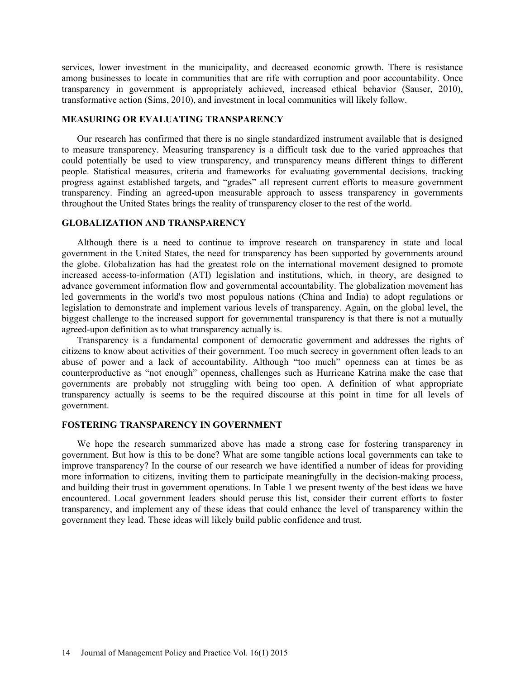services, lower investment in the municipality, and decreased economic growth. There is resistance among businesses to locate in communities that are rife with corruption and poor accountability. Once transparency in government is appropriately achieved, increased ethical behavior (Sauser, 2010), transformative action (Sims, 2010), and investment in local communities will likely follow.

## **MEASURING OR EVALUATING TRANSPARENCY**

Our research has confirmed that there is no single standardized instrument available that is designed to measure transparency. Measuring transparency is a difficult task due to the varied approaches that could potentially be used to view transparency, and transparency means different things to different people. Statistical measures, criteria and frameworks for evaluating governmental decisions, tracking progress against established targets, and "grades" all represent current efforts to measure government transparency. Finding an agreed-upon measurable approach to assess transparency in governments throughout the United States brings the reality of transparency closer to the rest of the world.

# **GLOBALIZATION AND TRANSPARENCY**

Although there is a need to continue to improve research on transparency in state and local government in the United States, the need for transparency has been supported by governments around the globe. Globalization has had the greatest role on the international movement designed to promote increased access-to-information (ATI) legislation and institutions, which, in theory, are designed to advance government information flow and governmental accountability. The globalization movement has led governments in the world's two most populous nations (China and India) to adopt regulations or legislation to demonstrate and implement various levels of transparency. Again, on the global level, the biggest challenge to the increased support for governmental transparency is that there is not a mutually agreed-upon definition as to what transparency actually is.

Transparency is a fundamental component of democratic government and addresses the rights of citizens to know about activities of their government. Too much secrecy in government often leads to an abuse of power and a lack of accountability. Although "too much" openness can at times be as counterproductive as "not enough" openness, challenges such as Hurricane Katrina make the case that governments are probably not struggling with being too open. A definition of what appropriate transparency actually is seems to be the required discourse at this point in time for all levels of government.

### **FOSTERING TRANSPARENCY IN GOVERNMENT**

We hope the research summarized above has made a strong case for fostering transparency in government. But how is this to be done? What are some tangible actions local governments can take to improve transparency? In the course of our research we have identified a number of ideas for providing more information to citizens, inviting them to participate meaningfully in the decision-making process, and building their trust in government operations. In Table 1 we present twenty of the best ideas we have encountered. Local government leaders should peruse this list, consider their current efforts to foster transparency, and implement any of these ideas that could enhance the level of transparency within the government they lead. These ideas will likely build public confidence and trust.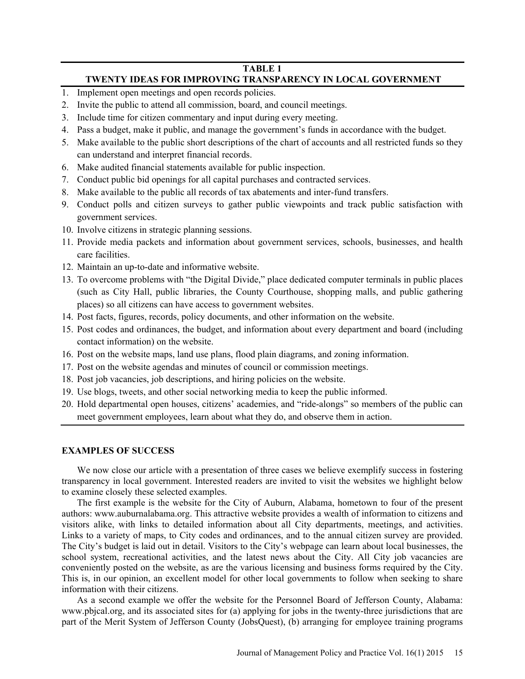# **TABLE 1**

# **TWENTY IDEAS FOR IMPROVING TRANSPARENCY IN LOCAL GOVERNMENT**

- 1. Implement open meetings and open records policies.
- 2. Invite the public to attend all commission, board, and council meetings.
- 3. Include time for citizen commentary and input during every meeting.
- 4. Pass a budget, make it public, and manage the government's funds in accordance with the budget.
- 5. Make available to the public short descriptions of the chart of accounts and all restricted funds so they can understand and interpret financial records.
- 6. Make audited financial statements available for public inspection.
- 7. Conduct public bid openings for all capital purchases and contracted services.
- 8. Make available to the public all records of tax abatements and inter-fund transfers.
- 9. Conduct polls and citizen surveys to gather public viewpoints and track public satisfaction with government services.
- 10. Involve citizens in strategic planning sessions.
- 11. Provide media packets and information about government services, schools, businesses, and health care facilities.
- 12. Maintain an up-to-date and informative website.
- 13. To overcome problems with "the Digital Divide," place dedicated computer terminals in public places (such as City Hall, public libraries, the County Courthouse, shopping malls, and public gathering places) so all citizens can have access to government websites.
- 14. Post facts, figures, records, policy documents, and other information on the website.
- 15. Post codes and ordinances, the budget, and information about every department and board (including contact information) on the website.
- 16. Post on the website maps, land use plans, flood plain diagrams, and zoning information.
- 17. Post on the website agendas and minutes of council or commission meetings.
- 18. Post job vacancies, job descriptions, and hiring policies on the website.
- 19. Use blogs, tweets, and other social networking media to keep the public informed.
- 20. Hold departmental open houses, citizens' academies, and "ride-alongs" so members of the public can meet government employees, learn about what they do, and observe them in action.

# **EXAMPLES OF SUCCESS**

We now close our article with a presentation of three cases we believe exemplify success in fostering transparency in local government. Interested readers are invited to visit the websites we highlight below to examine closely these selected examples.

The first example is the website for the City of Auburn, Alabama, hometown to four of the present authors: www.auburnalabama.org. This attractive website provides a wealth of information to citizens and visitors alike, with links to detailed information about all City departments, meetings, and activities. Links to a variety of maps, to City codes and ordinances, and to the annual citizen survey are provided. The City's budget is laid out in detail. Visitors to the City's webpage can learn about local businesses, the school system, recreational activities, and the latest news about the City. All City job vacancies are conveniently posted on the website, as are the various licensing and business forms required by the City. This is, in our opinion, an excellent model for other local governments to follow when seeking to share information with their citizens.

As a second example we offer the website for the Personnel Board of Jefferson County, Alabama: www.pbjcal.org, and its associated sites for (a) applying for jobs in the twenty-three jurisdictions that are part of the Merit System of Jefferson County (JobsQuest), (b) arranging for employee training programs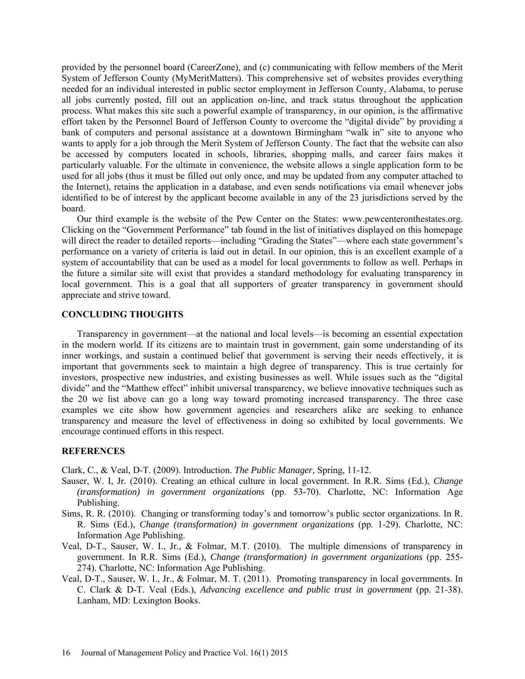provided by the personnel board (CareerZone), and (c) communicating with fellow members of the Merit System of Jefferson County (MyMeritMatters). This comprehensive set of websites provides everything needed for an individual interested in public sector employment in Jefferson County, Alabama, to peruse all jobs currently posted, fill out an application on-line, and track status throughout the application process. What makes this site such a powerful example of transparency, in our opinion, is the affirmative effort taken by the Personnel Board of Jefferson County to overcome the "digital divide" by providing a bank of computers and personal assistance at a downtown Birmingham "walk in" site to anyone who wants to apply for a job through the Merit System of Jefferson County. The fact that the website can also be accessed by computers located in schools, libraries, shopping malls, and career fairs makes it particularly valuable. For the ultimate in convenience, the website allows a single application form to be used for all jobs (thus it must be filled out only once, and may be updated from any computer attached to the Internet), retains the application in a database, and even sends notifications via email whenever jobs identified to be of interest by the applicant become available in any of the 23 jurisdictions served by the board.

Our third example is the website of the Pew Center on the States: www.pewcenteronthestates.org. Clicking on the "Government Performance" tab found in the list of initiatives displayed on this homepage will direct the reader to detailed reports—including "Grading the States"—where each state government's performance on a variety of criteria is laid out in detail. In our opinion, this is an excellent example of a system of accountability that can be used as a model for local governments to follow as well. Perhaps in the future a similar site will exist that provides a standard methodology for evaluating transparency in local government. This is a goal that all supporters of greater transparency in government should appreciate and strive toward.

### **CONCLUDING THOUGHTS**

Transparency in government—at the national and local levels—is becoming an essential expectation in the modern world. If its citizens are to maintain trust in government, gain some understanding of its inner workings, and sustain a continued belief that government is serving their needs effectively, it is important that governments seek to maintain a high degree of transparency. This is true certainly for investors, prospective new industries, and existing businesses as well. While issues such as the "digital divide" and the "Matthew effect" inhibit universal transparency, we believe innovative techniques such as the 20 we list above can go a long way toward promoting increased transparency. The three case examples we cite show how government agencies and researchers alike are seeking to enhance transparency and measure the level of effectiveness in doing so exhibited by local governments. We encourage continued efforts in this respect.

### **REFERENCES**

Clark, C., & Veal, D-T. (2009). Introduction. *The Public Manager,* Spring, 11-12.

- Sauser, W. I, Jr. (2010). Creating an ethical culture in local government. In R.R. Sims (Ed.), *Change (transformation) in government organizations* (pp. 53-70). Charlotte, NC: Information Age Publishing.
- Sims, R. R. (2010). Changing or transforming today's and tomorrow's public sector organizations. In R. R. Sims (Ed.), *Change (transformation) in government organizations* (pp. 1-29). Charlotte, NC: Information Age Publishing.
- Veal, D-T., Sauser, W. I., Jr., & Folmar, M.T. (2010). The multiple dimensions of transparency in government. In R.R. Sims (Ed.), *Change (transformation) in government organizations* (pp. 255- 274). Charlotte, NC: Information Age Publishing.
- Veal, D-T., Sauser, W. I., Jr., & Folmar, M. T. (2011). Promoting transparency in local governments. In C. Clark & D-T. Veal (Eds.), *Advancing excellence and public trust in government* (pp. 21-38). Lanham, MD: Lexington Books.